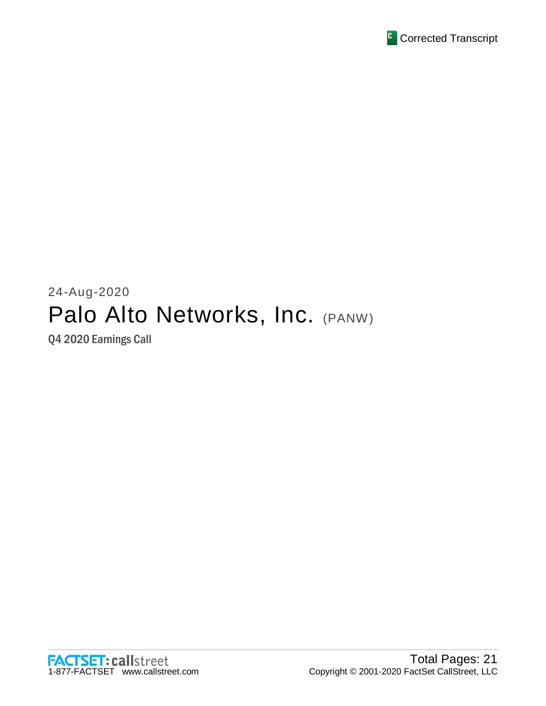

# 24-Aug-2020 Palo Alto Networks, Inc. (PANW)

Q4 2020 Earnings Call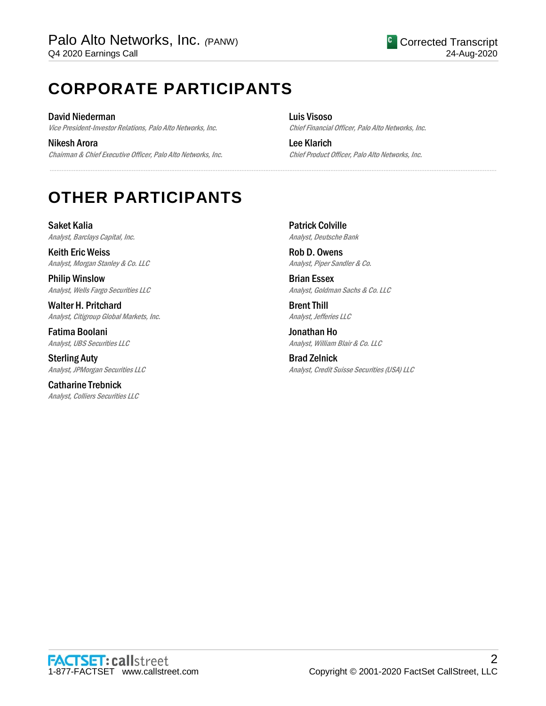# **CORPORATE PARTICIPANTS**

David Niederman Vice President-Investor Relations, Palo Alto Networks, Inc.

Nikesh Arora Chairman & Chief Executive Officer, Palo Alto Networks, Inc. Luis Visoso Chief Financial Officer, Palo Alto Networks, Inc.

Lee Klarich Chief Product Officer, Palo Alto Networks, Inc.

# **OTHER PARTICIPANTS**

Saket Kalia Analyst, Barclays Capital, Inc.

Keith Eric Weiss Analyst, Morgan Stanley & Co. LLC

Philip Winslow Analyst, Wells Fargo Securities LLC

Walter H. Pritchard Analyst, Citigroup Global Markets, Inc.

Fatima Boolani Analyst, UBS Securities LLC

Sterling Auty Analyst, JPMorgan Securities LLC

Catharine Trebnick Analyst, Colliers Securities LLC Patrick Colville Analyst, Deutsche Bank

.....................................................................................................................................................................................................................................................................

Rob D. Owens Analyst, Piper Sandler & Co.

Brian Essex Analyst, Goldman Sachs & Co. LLC

Brent Thill Analyst, Jefferies LLC

Jonathan Ho Analyst, William Blair & Co. LLC

Brad Zelnick Analyst, Credit Suisse Securities (USA) LLC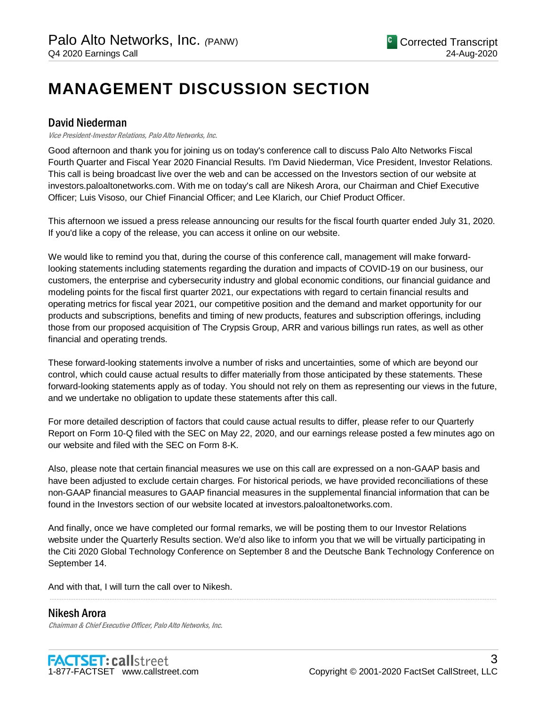# **MANAGEMENT DISCUSSION SECTION**

# David Niederman

Vice President-Investor Relations, Palo Alto Networks, Inc.

Good afternoon and thank you for joining us on today's conference call to discuss Palo Alto Networks Fiscal Fourth Quarter and Fiscal Year 2020 Financial Results. I'm David Niederman, Vice President, Investor Relations. This call is being broadcast live over the web and can be accessed on the Investors section of our website at investors.paloaltonetworks.com. With me on today's call are Nikesh Arora, our Chairman and Chief Executive Officer; Luis Visoso, our Chief Financial Officer; and Lee Klarich, our Chief Product Officer.

This afternoon we issued a press release announcing our results for the fiscal fourth quarter ended July 31, 2020. If you'd like a copy of the release, you can access it online on our website.

We would like to remind you that, during the course of this conference call, management will make forwardlooking statements including statements regarding the duration and impacts of COVID-19 on our business, our customers, the enterprise and cybersecurity industry and global economic conditions, our financial guidance and modeling points for the fiscal first quarter 2021, our expectations with regard to certain financial results and operating metrics for fiscal year 2021, our competitive position and the demand and market opportunity for our products and subscriptions, benefits and timing of new products, features and subscription offerings, including those from our proposed acquisition of The Crypsis Group, ARR and various billings run rates, as well as other financial and operating trends.

These forward-looking statements involve a number of risks and uncertainties, some of which are beyond our control, which could cause actual results to differ materially from those anticipated by these statements. These forward-looking statements apply as of today. You should not rely on them as representing our views in the future, and we undertake no obligation to update these statements after this call.

For more detailed description of factors that could cause actual results to differ, please refer to our Quarterly Report on Form 10-Q filed with the SEC on May 22, 2020, and our earnings release posted a few minutes ago on our website and filed with the SEC on Form 8-K.

Also, please note that certain financial measures we use on this call are expressed on a non-GAAP basis and have been adjusted to exclude certain charges. For historical periods, we have provided reconciliations of these non-GAAP financial measures to GAAP financial measures in the supplemental financial information that can be found in the Investors section of our website located at investors.paloaltonetworks.com.

And finally, once we have completed our formal remarks, we will be posting them to our Investor Relations website under the Quarterly Results section. We'd also like to inform you that we will be virtually participating in the Citi 2020 Global Technology Conference on September 8 and the Deutsche Bank Technology Conference on September 14.

.....................................................................................................................................................................................................................................................................

And with that, I will turn the call over to Nikesh.

Nikesh Arora Chairman & Chief Executive Officer, Palo Alto Networks, Inc.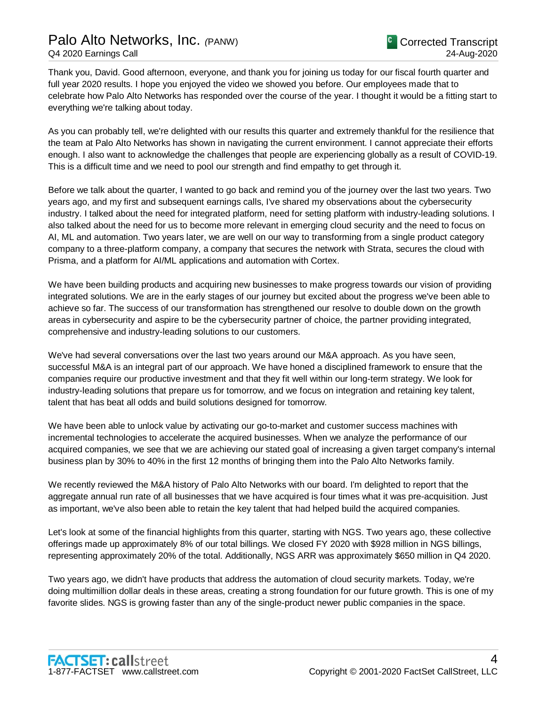# Palo Alto Networks, Inc. *(*PANW) Q4 2020 Earnings Call

Thank you, David. Good afternoon, everyone, and thank you for joining us today for our fiscal fourth quarter and full year 2020 results. I hope you enjoyed the video we showed you before. Our employees made that to celebrate how Palo Alto Networks has responded over the course of the year. I thought it would be a fitting start to everything we're talking about today.

As you can probably tell, we're delighted with our results this quarter and extremely thankful for the resilience that the team at Palo Alto Networks has shown in navigating the current environment. I cannot appreciate their efforts enough. I also want to acknowledge the challenges that people are experiencing globally as a result of COVID-19. This is a difficult time and we need to pool our strength and find empathy to get through it.

Before we talk about the quarter, I wanted to go back and remind you of the journey over the last two years. Two years ago, and my first and subsequent earnings calls, I've shared my observations about the cybersecurity industry. I talked about the need for integrated platform, need for setting platform with industry-leading solutions. I also talked about the need for us to become more relevant in emerging cloud security and the need to focus on AI, ML and automation. Two years later, we are well on our way to transforming from a single product category company to a three-platform company, a company that secures the network with Strata, secures the cloud with Prisma, and a platform for AI/ML applications and automation with Cortex.

We have been building products and acquiring new businesses to make progress towards our vision of providing integrated solutions. We are in the early stages of our journey but excited about the progress we've been able to achieve so far. The success of our transformation has strengthened our resolve to double down on the growth areas in cybersecurity and aspire to be the cybersecurity partner of choice, the partner providing integrated, comprehensive and industry-leading solutions to our customers.

We've had several conversations over the last two years around our M&A approach. As you have seen, successful M&A is an integral part of our approach. We have honed a disciplined framework to ensure that the companies require our productive investment and that they fit well within our long-term strategy. We look for industry-leading solutions that prepare us for tomorrow, and we focus on integration and retaining key talent, talent that has beat all odds and build solutions designed for tomorrow.

We have been able to unlock value by activating our go-to-market and customer success machines with incremental technologies to accelerate the acquired businesses. When we analyze the performance of our acquired companies, we see that we are achieving our stated goal of increasing a given target company's internal business plan by 30% to 40% in the first 12 months of bringing them into the Palo Alto Networks family.

We recently reviewed the M&A history of Palo Alto Networks with our board. I'm delighted to report that the aggregate annual run rate of all businesses that we have acquired is four times what it was pre-acquisition. Just as important, we've also been able to retain the key talent that had helped build the acquired companies.

Let's look at some of the financial highlights from this quarter, starting with NGS. Two years ago, these collective offerings made up approximately 8% of our total billings. We closed FY 2020 with \$928 million in NGS billings, representing approximately 20% of the total. Additionally, NGS ARR was approximately \$650 million in Q4 2020.

Two years ago, we didn't have products that address the automation of cloud security markets. Today, we're doing multimillion dollar deals in these areas, creating a strong foundation for our future growth. This is one of my favorite slides. NGS is growing faster than any of the single-product newer public companies in the space.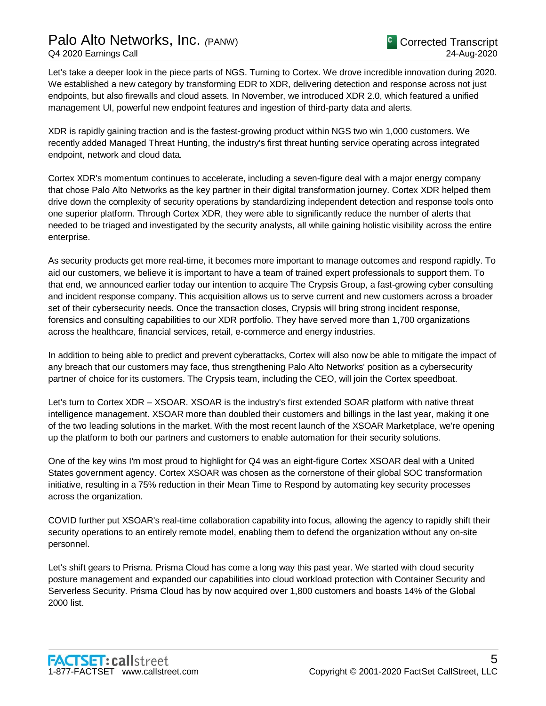Let's take a deeper look in the piece parts of NGS. Turning to Cortex. We drove incredible innovation during 2020. We established a new category by transforming EDR to XDR, delivering detection and response across not just endpoints, but also firewalls and cloud assets. In November, we introduced XDR 2.0, which featured a unified management UI, powerful new endpoint features and ingestion of third-party data and alerts.

XDR is rapidly gaining traction and is the fastest-growing product within NGS two win 1,000 customers. We recently added Managed Threat Hunting, the industry's first threat hunting service operating across integrated endpoint, network and cloud data.

Cortex XDR's momentum continues to accelerate, including a seven-figure deal with a major energy company that chose Palo Alto Networks as the key partner in their digital transformation journey. Cortex XDR helped them drive down the complexity of security operations by standardizing independent detection and response tools onto one superior platform. Through Cortex XDR, they were able to significantly reduce the number of alerts that needed to be triaged and investigated by the security analysts, all while gaining holistic visibility across the entire enterprise.

As security products get more real-time, it becomes more important to manage outcomes and respond rapidly. To aid our customers, we believe it is important to have a team of trained expert professionals to support them. To that end, we announced earlier today our intention to acquire The Crypsis Group, a fast-growing cyber consulting and incident response company. This acquisition allows us to serve current and new customers across a broader set of their cybersecurity needs. Once the transaction closes, Crypsis will bring strong incident response, forensics and consulting capabilities to our XDR portfolio. They have served more than 1,700 organizations across the healthcare, financial services, retail, e-commerce and energy industries.

In addition to being able to predict and prevent cyberattacks, Cortex will also now be able to mitigate the impact of any breach that our customers may face, thus strengthening Palo Alto Networks' position as a cybersecurity partner of choice for its customers. The Crypsis team, including the CEO, will join the Cortex speedboat.

Let's turn to Cortex XDR – XSOAR. XSOAR is the industry's first extended SOAR platform with native threat intelligence management. XSOAR more than doubled their customers and billings in the last year, making it one of the two leading solutions in the market. With the most recent launch of the XSOAR Marketplace, we're opening up the platform to both our partners and customers to enable automation for their security solutions.

One of the key wins I'm most proud to highlight for Q4 was an eight-figure Cortex XSOAR deal with a United States government agency. Cortex XSOAR was chosen as the cornerstone of their global SOC transformation initiative, resulting in a 75% reduction in their Mean Time to Respond by automating key security processes across the organization.

COVID further put XSOAR's real-time collaboration capability into focus, allowing the agency to rapidly shift their security operations to an entirely remote model, enabling them to defend the organization without any on-site personnel.

Let's shift gears to Prisma. Prisma Cloud has come a long way this past year. We started with cloud security posture management and expanded our capabilities into cloud workload protection with Container Security and Serverless Security. Prisma Cloud has by now acquired over 1,800 customers and boasts 14% of the Global 2000 list.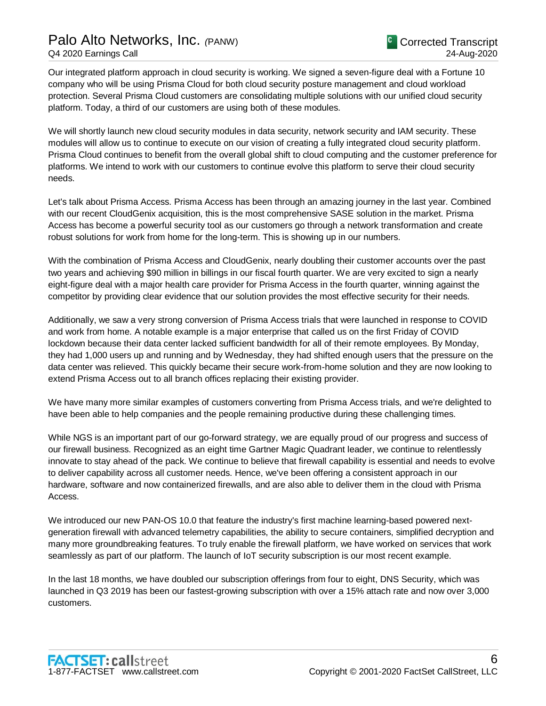Our integrated platform approach in cloud security is working. We signed a seven-figure deal with a Fortune 10 company who will be using Prisma Cloud for both cloud security posture management and cloud workload protection. Several Prisma Cloud customers are consolidating multiple solutions with our unified cloud security platform. Today, a third of our customers are using both of these modules.

We will shortly launch new cloud security modules in data security, network security and IAM security. These modules will allow us to continue to execute on our vision of creating a fully integrated cloud security platform. Prisma Cloud continues to benefit from the overall global shift to cloud computing and the customer preference for platforms. We intend to work with our customers to continue evolve this platform to serve their cloud security needs.

Let's talk about Prisma Access. Prisma Access has been through an amazing journey in the last year. Combined with our recent CloudGenix acquisition, this is the most comprehensive SASE solution in the market. Prisma Access has become a powerful security tool as our customers go through a network transformation and create robust solutions for work from home for the long-term. This is showing up in our numbers.

With the combination of Prisma Access and CloudGenix, nearly doubling their customer accounts over the past two years and achieving \$90 million in billings in our fiscal fourth quarter. We are very excited to sign a nearly eight-figure deal with a major health care provider for Prisma Access in the fourth quarter, winning against the competitor by providing clear evidence that our solution provides the most effective security for their needs.

Additionally, we saw a very strong conversion of Prisma Access trials that were launched in response to COVID and work from home. A notable example is a major enterprise that called us on the first Friday of COVID lockdown because their data center lacked sufficient bandwidth for all of their remote employees. By Monday, they had 1,000 users up and running and by Wednesday, they had shifted enough users that the pressure on the data center was relieved. This quickly became their secure work-from-home solution and they are now looking to extend Prisma Access out to all branch offices replacing their existing provider.

We have many more similar examples of customers converting from Prisma Access trials, and we're delighted to have been able to help companies and the people remaining productive during these challenging times.

While NGS is an important part of our go-forward strategy, we are equally proud of our progress and success of our firewall business. Recognized as an eight time Gartner Magic Quadrant leader, we continue to relentlessly innovate to stay ahead of the pack. We continue to believe that firewall capability is essential and needs to evolve to deliver capability across all customer needs. Hence, we've been offering a consistent approach in our hardware, software and now containerized firewalls, and are also able to deliver them in the cloud with Prisma Access.

We introduced our new PAN-OS 10.0 that feature the industry's first machine learning-based powered nextgeneration firewall with advanced telemetry capabilities, the ability to secure containers, simplified decryption and many more groundbreaking features. To truly enable the firewall platform, we have worked on services that work seamlessly as part of our platform. The launch of IoT security subscription is our most recent example.

In the last 18 months, we have doubled our subscription offerings from four to eight, DNS Security, which was launched in Q3 2019 has been our fastest-growing subscription with over a 15% attach rate and now over 3,000 customers.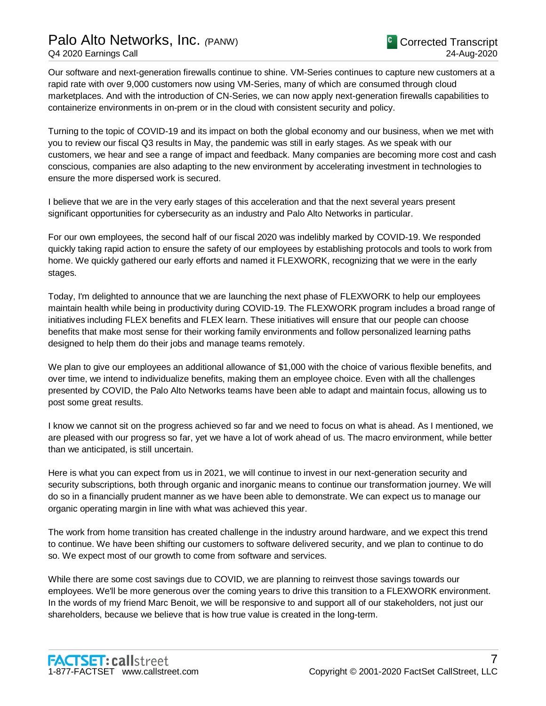Our software and next-generation firewalls continue to shine. VM-Series continues to capture new customers at a rapid rate with over 9,000 customers now using VM-Series, many of which are consumed through cloud marketplaces. And with the introduction of CN-Series, we can now apply next-generation firewalls capabilities to containerize environments in on-prem or in the cloud with consistent security and policy.

Turning to the topic of COVID-19 and its impact on both the global economy and our business, when we met with you to review our fiscal Q3 results in May, the pandemic was still in early stages. As we speak with our customers, we hear and see a range of impact and feedback. Many companies are becoming more cost and cash conscious, companies are also adapting to the new environment by accelerating investment in technologies to ensure the more dispersed work is secured.

I believe that we are in the very early stages of this acceleration and that the next several years present significant opportunities for cybersecurity as an industry and Palo Alto Networks in particular.

For our own employees, the second half of our fiscal 2020 was indelibly marked by COVID-19. We responded quickly taking rapid action to ensure the safety of our employees by establishing protocols and tools to work from home. We quickly gathered our early efforts and named it FLEXWORK, recognizing that we were in the early stages.

Today, I'm delighted to announce that we are launching the next phase of FLEXWORK to help our employees maintain health while being in productivity during COVID-19. The FLEXWORK program includes a broad range of initiatives including FLEX benefits and FLEX learn. These initiatives will ensure that our people can choose benefits that make most sense for their working family environments and follow personalized learning paths designed to help them do their jobs and manage teams remotely.

We plan to give our employees an additional allowance of \$1,000 with the choice of various flexible benefits, and over time, we intend to individualize benefits, making them an employee choice. Even with all the challenges presented by COVID, the Palo Alto Networks teams have been able to adapt and maintain focus, allowing us to post some great results.

I know we cannot sit on the progress achieved so far and we need to focus on what is ahead. As I mentioned, we are pleased with our progress so far, yet we have a lot of work ahead of us. The macro environment, while better than we anticipated, is still uncertain.

Here is what you can expect from us in 2021, we will continue to invest in our next-generation security and security subscriptions, both through organic and inorganic means to continue our transformation journey. We will do so in a financially prudent manner as we have been able to demonstrate. We can expect us to manage our organic operating margin in line with what was achieved this year.

The work from home transition has created challenge in the industry around hardware, and we expect this trend to continue. We have been shifting our customers to software delivered security, and we plan to continue to do so. We expect most of our growth to come from software and services.

While there are some cost savings due to COVID, we are planning to reinvest those savings towards our employees. We'll be more generous over the coming years to drive this transition to a FLEXWORK environment. In the words of my friend Marc Benoit, we will be responsive to and support all of our stakeholders, not just our shareholders, because we believe that is how true value is created in the long-term.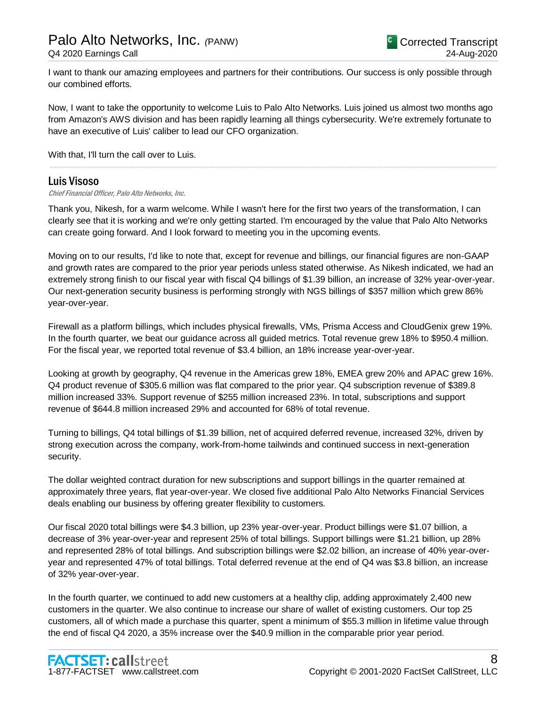I want to thank our amazing employees and partners for their contributions. Our success is only possible through our combined efforts.

Now, I want to take the opportunity to welcome Luis to Palo Alto Networks. Luis joined us almost two months ago from Amazon's AWS division and has been rapidly learning all things cybersecurity. We're extremely fortunate to have an executive of Luis' caliber to lead our CFO organization.

.....................................................................................................................................................................................................................................................................

With that, I'll turn the call over to Luis.

### Luis Visoso

Chief Financial Officer, Palo Alto Networks, Inc.

Thank you, Nikesh, for a warm welcome. While I wasn't here for the first two years of the transformation, I can clearly see that it is working and we're only getting started. I'm encouraged by the value that Palo Alto Networks can create going forward. And I look forward to meeting you in the upcoming events.

Moving on to our results, I'd like to note that, except for revenue and billings, our financial figures are non-GAAP and growth rates are compared to the prior year periods unless stated otherwise. As Nikesh indicated, we had an extremely strong finish to our fiscal year with fiscal Q4 billings of \$1.39 billion, an increase of 32% year-over-year. Our next-generation security business is performing strongly with NGS billings of \$357 million which grew 86% year-over-year.

Firewall as a platform billings, which includes physical firewalls, VMs, Prisma Access and CloudGenix grew 19%. In the fourth quarter, we beat our guidance across all guided metrics. Total revenue grew 18% to \$950.4 million. For the fiscal year, we reported total revenue of \$3.4 billion, an 18% increase year-over-year.

Looking at growth by geography, Q4 revenue in the Americas grew 18%, EMEA grew 20% and APAC grew 16%. Q4 product revenue of \$305.6 million was flat compared to the prior year. Q4 subscription revenue of \$389.8 million increased 33%. Support revenue of \$255 million increased 23%. In total, subscriptions and support revenue of \$644.8 million increased 29% and accounted for 68% of total revenue.

Turning to billings, Q4 total billings of \$1.39 billion, net of acquired deferred revenue, increased 32%, driven by strong execution across the company, work-from-home tailwinds and continued success in next-generation security.

The dollar weighted contract duration for new subscriptions and support billings in the quarter remained at approximately three years, flat year-over-year. We closed five additional Palo Alto Networks Financial Services deals enabling our business by offering greater flexibility to customers.

Our fiscal 2020 total billings were \$4.3 billion, up 23% year-over-year. Product billings were \$1.07 billion, a decrease of 3% year-over-year and represent 25% of total billings. Support billings were \$1.21 billion, up 28% and represented 28% of total billings. And subscription billings were \$2.02 billion, an increase of 40% year-overyear and represented 47% of total billings. Total deferred revenue at the end of Q4 was \$3.8 billion, an increase of 32% year-over-year.

In the fourth quarter, we continued to add new customers at a healthy clip, adding approximately 2,400 new customers in the quarter. We also continue to increase our share of wallet of existing customers. Our top 25 customers, all of which made a purchase this quarter, spent a minimum of \$55.3 million in lifetime value through the end of fiscal Q4 2020, a 35% increase over the \$40.9 million in the comparable prior year period.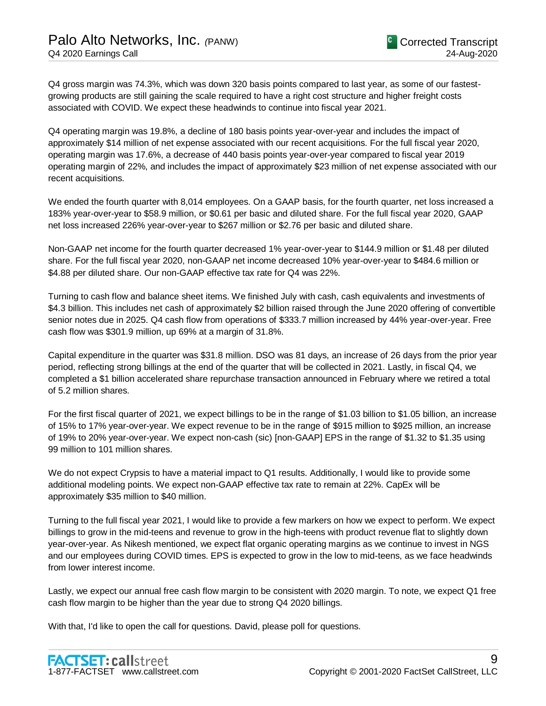Q4 gross margin was 74.3%, which was down 320 basis points compared to last year, as some of our fastestgrowing products are still gaining the scale required to have a right cost structure and higher freight costs associated with COVID. We expect these headwinds to continue into fiscal year 2021.

Q4 operating margin was 19.8%, a decline of 180 basis points year-over-year and includes the impact of approximately \$14 million of net expense associated with our recent acquisitions. For the full fiscal year 2020, operating margin was 17.6%, a decrease of 440 basis points year-over-year compared to fiscal year 2019 operating margin of 22%, and includes the impact of approximately \$23 million of net expense associated with our recent acquisitions.

We ended the fourth quarter with 8,014 employees. On a GAAP basis, for the fourth quarter, net loss increased a 183% year-over-year to \$58.9 million, or \$0.61 per basic and diluted share. For the full fiscal year 2020, GAAP net loss increased 226% year-over-year to \$267 million or \$2.76 per basic and diluted share.

Non-GAAP net income for the fourth quarter decreased 1% year-over-year to \$144.9 million or \$1.48 per diluted share. For the full fiscal year 2020, non-GAAP net income decreased 10% year-over-year to \$484.6 million or \$4.88 per diluted share. Our non-GAAP effective tax rate for Q4 was 22%.

Turning to cash flow and balance sheet items. We finished July with cash, cash equivalents and investments of \$4.3 billion. This includes net cash of approximately \$2 billion raised through the June 2020 offering of convertible senior notes due in 2025. Q4 cash flow from operations of \$333.7 million increased by 44% year-over-year. Free cash flow was \$301.9 million, up 69% at a margin of 31.8%.

Capital expenditure in the quarter was \$31.8 million. DSO was 81 days, an increase of 26 days from the prior year period, reflecting strong billings at the end of the quarter that will be collected in 2021. Lastly, in fiscal Q4, we completed a \$1 billion accelerated share repurchase transaction announced in February where we retired a total of 5.2 million shares.

For the first fiscal quarter of 2021, we expect billings to be in the range of \$1.03 billion to \$1.05 billion, an increase of 15% to 17% year-over-year. We expect revenue to be in the range of \$915 million to \$925 million, an increase of 19% to 20% year-over-year. We expect non-cash (sic) [non-GAAP] EPS in the range of \$1.32 to \$1.35 using 99 million to 101 million shares.

We do not expect Crypsis to have a material impact to Q1 results. Additionally, I would like to provide some additional modeling points. We expect non-GAAP effective tax rate to remain at 22%. CapEx will be approximately \$35 million to \$40 million.

Turning to the full fiscal year 2021, I would like to provide a few markers on how we expect to perform. We expect billings to grow in the mid-teens and revenue to grow in the high-teens with product revenue flat to slightly down year-over-year. As Nikesh mentioned, we expect flat organic operating margins as we continue to invest in NGS and our employees during COVID times. EPS is expected to grow in the low to mid-teens, as we face headwinds from lower interest income.

Lastly, we expect our annual free cash flow margin to be consistent with 2020 margin. To note, we expect Q1 free cash flow margin to be higher than the year due to strong Q4 2020 billings.

With that, I'd like to open the call for questions. David, please poll for questions.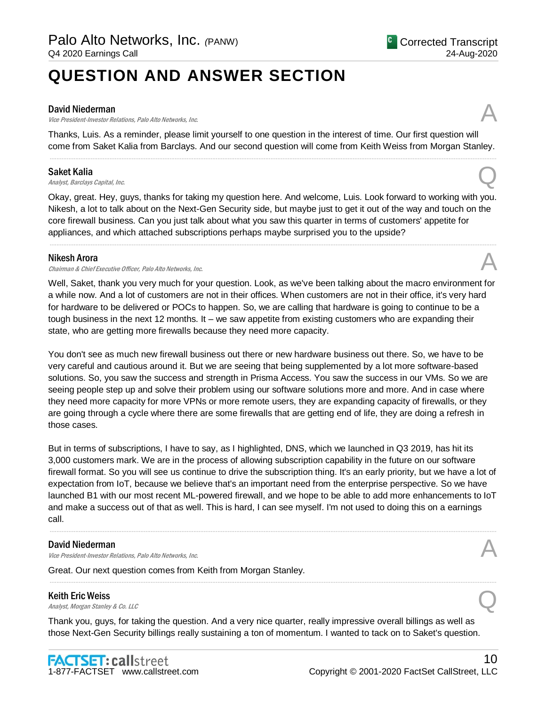# **QUESTION AND ANSWER SECTION**

#### David Niederman

David Niederman<br>Vice President-Investor Relations, Palo Alto Networks, Inc. And Alto 2001 Control of the Second Alto Networks,

Thanks, Luis. As a reminder, please limit yourself to one question in the interest of time. Our first question will come from Saket Kalia from Barclays. And our second question will come from Keith Weiss from Morgan Stanley. .....................................................................................................................................................................................................................................................................

### Saket Kalia

Saket Kalia  $A_{nab}$ st, Barclays Capital, Inc.  $Q$ 

Okay, great. Hey, guys, thanks for taking my question here. And welcome, Luis. Look forward to working with you. Nikesh, a lot to talk about on the Next-Gen Security side, but maybe just to get it out of the way and touch on the core firewall business. Can you just talk about what you saw this quarter in terms of customers' appetite for appliances, and which attached subscriptions perhaps maybe surprised you to the upside?

.....................................................................................................................................................................................................................................................................

#### Nikesh Arora

Chairman & Chief Executive Officer, Palo Alto Networks, Inc.

Well, Saket, thank you very much for your question. Look, as we've been talking about the macro environment for a while now. And a lot of customers are not in their offices. When customers are not in their office, it's very hard for hardware to be delivered or POCs to happen. So, we are calling that hardware is going to continue to be a tough business in the next 12 months. It – we saw appetite from existing customers who are expanding their state, who are getting more firewalls because they need more capacity.

You don't see as much new firewall business out there or new hardware business out there. So, we have to be very careful and cautious around it. But we are seeing that being supplemented by a lot more software-based solutions. So, you saw the success and strength in Prisma Access. You saw the success in our VMs. So we are seeing people step up and solve their problem using our software solutions more and more. And in case where they need more capacity for more VPNs or more remote users, they are expanding capacity of firewalls, or they are going through a cycle where there are some firewalls that are getting end of life, they are doing a refresh in those cases.

But in terms of subscriptions, I have to say, as I highlighted, DNS, which we launched in Q3 2019, has hit its 3,000 customers mark. We are in the process of allowing subscription capability in the future on our software firewall format. So you will see us continue to drive the subscription thing. It's an early priority, but we have a lot of expectation from IoT, because we believe that's an important need from the enterprise perspective. So we have launched B1 with our most recent ML-powered firewall, and we hope to be able to add more enhancements to IoT and make a success out of that as well. This is hard, I can see myself. I'm not used to doing this on a earnings call.

.....................................................................................................................................................................................................................................................................

.....................................................................................................................................................................................................................................................................

#### David Niederman

David Niederman<br>Vice President-Investor Relations, Palo Alto Networks, Inc. And Alto 2001 Control of the Second Alto Networks,

Great. Our next question comes from Keith from Morgan Stanley.

### Keith Eric Weiss

**Keith Eric Weiss**<br>Analyst, Morgan Stanley & Co. LLC Quarter of Analyst, Morgan Stanley & Co. LLC

Thank you, guys, for taking the question. And a very nice quarter, really impressive overall billings as well as those Next-Gen Security billings really sustaining a ton of momentum. I wanted to tack on to Saket's question.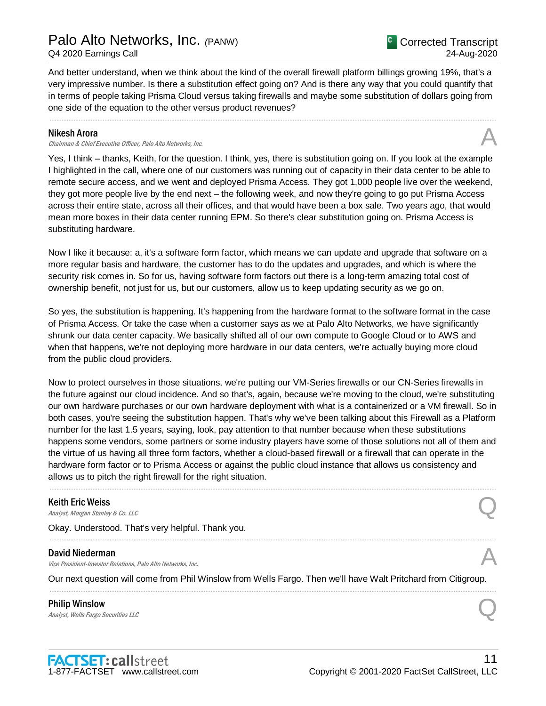And better understand, when we think about the kind of the overall firewall platform billings growing 19%, that's a very impressive number. Is there a substitution effect going on? And is there any way that you could quantify that in terms of people taking Prisma Cloud versus taking firewalls and maybe some substitution of dollars going from one side of the equation to the other versus product revenues?

.....................................................................................................................................................................................................................................................................

#### Nikesh Arora

Chairman & Chief Executive Officer, Palo Alto Networks, Inc.

Yes, I think – thanks, Keith, for the question. I think, yes, there is substitution going on. If you look at the example I highlighted in the call, where one of our customers was running out of capacity in their data center to be able to remote secure access, and we went and deployed Prisma Access. They got 1,000 people live over the weekend, they got more people live by the end next – the following week, and now they're going to go put Prisma Access across their entire state, across all their offices, and that would have been a box sale. Two years ago, that would mean more boxes in their data center running EPM. So there's clear substitution going on. Prisma Access is substituting hardware.

Now I like it because: a, it's a software form factor, which means we can update and upgrade that software on a more regular basis and hardware, the customer has to do the updates and upgrades, and which is where the security risk comes in. So for us, having software form factors out there is a long-term amazing total cost of ownership benefit, not just for us, but our customers, allow us to keep updating security as we go on.

So yes, the substitution is happening. It's happening from the hardware format to the software format in the case of Prisma Access. Or take the case when a customer says as we at Palo Alto Networks, we have significantly shrunk our data center capacity. We basically shifted all of our own compute to Google Cloud or to AWS and when that happens, we're not deploying more hardware in our data centers, we're actually buying more cloud from the public cloud providers.

Now to protect ourselves in those situations, we're putting our VM-Series firewalls or our CN-Series firewalls in the future against our cloud incidence. And so that's, again, because we're moving to the cloud, we're substituting our own hardware purchases or our own hardware deployment with what is a containerized or a VM firewall. So in both cases, you're seeing the substitution happen. That's why we've been talking about this Firewall as a Platform number for the last 1.5 years, saying, look, pay attention to that number because when these substitutions happens some vendors, some partners or some industry players have some of those solutions not all of them and the virtue of us having all three form factors, whether a cloud-based firewall or a firewall that can operate in the hardware form factor or to Prisma Access or against the public cloud instance that allows us consistency and allows us to pitch the right firewall for the right situation.

.....................................................................................................................................................................................................................................................................

.....................................................................................................................................................................................................................................................................

#### Keith Eric Weiss

**Keith Eric Weiss**<br>Analyst, Morgan Stanley & Co. LLC Quarter of Analyst, Morgan Stanley & Co. LLC

Okay. Understood. That's very helpful. Thank you.

#### David Niederman

Vice President-Investor Relations, Palo Alto Networks, Inc.

Our next question will come from Phil Winslow from Wells Fargo. Then we'll have Walt Pritchard from Citigroup. .....................................................................................................................................................................................................................................................................

Philip Winslow **Philip Winslow**<br>Analyst, Wells Fargo Securities LLC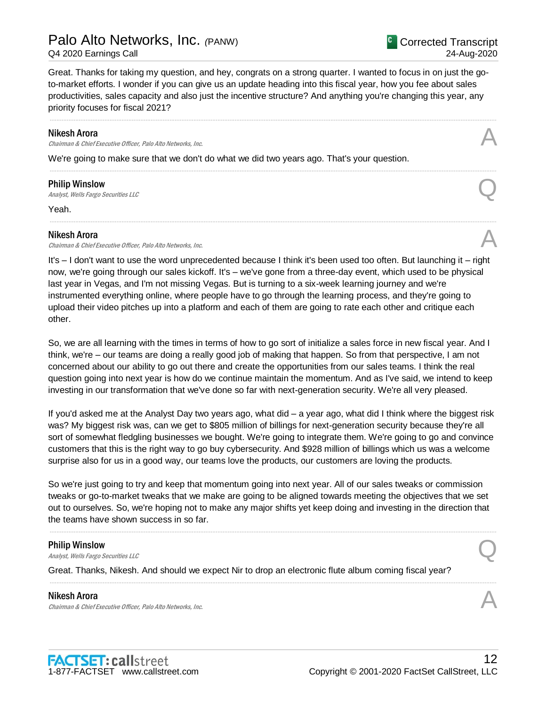# Palo Alto Networks, Inc. *(*PANW)

Q4 2020 Earnings Call

<sup>C</sup> Corrected Transcript 24-Aug-2020

Great. Thanks for taking my question, and hey, congrats on a strong quarter. I wanted to focus in on just the goto-market efforts. I wonder if you can give us an update heading into this fiscal year, how you fee about sales productivities, sales capacity and also just the incentive structure? And anything you're changing this year, any priority focuses for fiscal 2021?

.....................................................................................................................................................................................................................................................................

.....................................................................................................................................................................................................................................................................

.....................................................................................................................................................................................................................................................................

#### Nikesh Arora

Chairman & Chief Executive Officer, Palo Alto Networks, Inc.

We're going to make sure that we don't do what we did two years ago. That's your question.

### Philip Winslow

**Philip Winslow**<br>Analyst, Wells Fargo Securities LLC

Yeah.

other.

### Nikesh Arora

Chairman & Chief Executive Officer, Palo Alto Networks, Inc.

It's – I don't want to use the word unprecedented because I think it's been used too often. But launching it – right now, we're going through our sales kickoff. It's – we've gone from a three-day event, which used to be physical last year in Vegas, and I'm not missing Vegas. But is turning to a six-week learning journey and we're instrumented everything online, where people have to go through the learning process, and they're going to upload their video pitches up into a platform and each of them are going to rate each other and critique each

So, we are all learning with the times in terms of how to go sort of initialize a sales force in new fiscal year. And I think, we're – our teams are doing a really good job of making that happen. So from that perspective, I am not concerned about our ability to go out there and create the opportunities from our sales teams. I think the real question going into next year is how do we continue maintain the momentum. And as I've said, we intend to keep investing in our transformation that we've done so far with next-generation security. We're all very pleased.

If you'd asked me at the Analyst Day two years ago, what did – a year ago, what did I think where the biggest risk was? My biggest risk was, can we get to \$805 million of billings for next-generation security because they're all sort of somewhat fledgling businesses we bought. We're going to integrate them. We're going to go and convince customers that this is the right way to go buy cybersecurity. And \$928 million of billings which us was a welcome surprise also for us in a good way, our teams love the products, our customers are loving the products.

So we're just going to try and keep that momentum going into next year. All of our sales tweaks or commission tweaks or go-to-market tweaks that we make are going to be aligned towards meeting the objectives that we set out to ourselves. So, we're hoping not to make any major shifts yet keep doing and investing in the direction that the teams have shown success in so far.

.....................................................................................................................................................................................................................................................................

.....................................................................................................................................................................................................................................................................

#### Philip Winslow

**Philip Winslow**<br>Analyst, Wells Fargo Securities LLC

Great. Thanks, Nikesh. And should we expect Nir to drop an electronic flute album coming fiscal year?

#### Nikesh Arora

Chairman & Chief Executive Officer, Palo Alto Networks, Inc.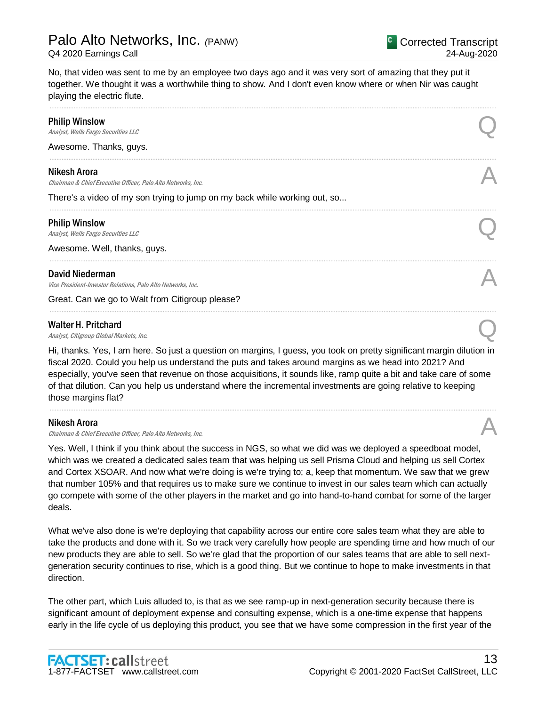13

No, that video was sent to me by an employee two days ago and it was very sort of amazing that they put it together. We thought it was a worthwhile thing to show. And I don't even know where or when Nir was caught playing the electric flute.

.....................................................................................................................................................................................................................................................................

.....................................................................................................................................................................................................................................................................

.....................................................................................................................................................................................................................................................................

.....................................................................................................................................................................................................................................................................

.....................................................................................................................................................................................................................................................................

# Philip Winslow **Philip Winslow**<br>Analyst, Wells Fargo Securities LLC

Awesome. Thanks, guys.

#### Nikesh Arora

Chairman & Chief Executive Officer, Palo Alto Networks, Inc.

There's a video of my son trying to jump on my back while working out, so...

#### Philip Winslow

**Philip Winslow**<br>Analyst, Wells Fargo Securities LLC

Awesome. Well, thanks, guys.

#### David Niederman

David Niederman<br>Vice President-Investor Relations, Palo Alto Networks, Inc. And Alto 2001 Control of the Second Alto Networks,

Great. Can we go to Walt from Citigroup please?

#### Walter H. Pritchard

Walter H. Pritchard  $\bigotimes$ <br>Analyst, Citigroup Global Markets, Inc.

Hi, thanks. Yes, I am here. So just a question on margins, I guess, you took on pretty significant margin dilution in fiscal 2020. Could you help us understand the puts and takes around margins as we head into 2021? And especially, you've seen that revenue on those acquisitions, it sounds like, ramp quite a bit and take care of some of that dilution. Can you help us understand where the incremental investments are going relative to keeping those margins flat?

.....................................................................................................................................................................................................................................................................

#### Nikesh Arora

**Nikesh Arora**<br>Chairman & Chief Executive Officer, Palo Alto Networks, Inc.  $\mathcal{A}$ 

1-877-FACTSET www.callstreet.com

**FACTSET: callstreet** 

Yes. Well, I think if you think about the success in NGS, so what we did was we deployed a speedboat model, which was we created a dedicated sales team that was helping us sell Prisma Cloud and helping us sell Cortex and Cortex XSOAR. And now what we're doing is we're trying to; a, keep that momentum. We saw that we grew that number 105% and that requires us to make sure we continue to invest in our sales team which can actually go compete with some of the other players in the market and go into hand-to-hand combat for some of the larger deals.

What we've also done is we're deploying that capability across our entire core sales team what they are able to take the products and done with it. So we track very carefully how people are spending time and how much of our new products they are able to sell. So we're glad that the proportion of our sales teams that are able to sell nextgeneration security continues to rise, which is a good thing. But we continue to hope to make investments in that direction.

The other part, which Luis alluded to, is that as we see ramp-up in next-generation security because there is significant amount of deployment expense and consulting expense, which is a one-time expense that happens early in the life cycle of us deploying this product, you see that we have some compression in the first year of the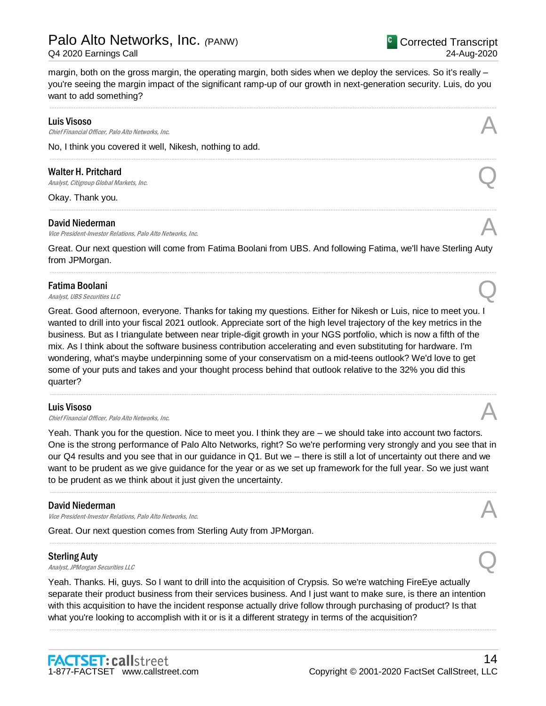margin, both on the gross margin, the operating margin, both sides when we deploy the services. So it's really – you're seeing the margin impact of the significant ramp-up of our growth in next-generation security. Luis, do you want to add something?

.....................................................................................................................................................................................................................................................................

.....................................................................................................................................................................................................................................................................

.....................................................................................................................................................................................................................................................................

#### Luis Visoso

**Luis Visoso**<br>Chief Financial Officer, Palo Alto Networks, Inc.  $\mathcal{A}$ 

No, I think you covered it well, Nikesh, nothing to add.

### Walter H. Pritchard

Walter H. Pritchard  $\bigotimes$ <br>Analyst, Citigroup Global Markets, Inc.

Okay. Thank you.

#### David Niederman

David Niederman<br>Vice President-Investor Relations, Palo Alto Networks, Inc. And Alto 2001 Control of the Second Alto Networks,

Great. Our next question will come from Fatima Boolani from UBS. And following Fatima, we'll have Sterling Auty from JPMorgan. .....................................................................................................................................................................................................................................................................

# Fatima Boolani **Fatima Boolani**<br>Analyst, UBS Securities LLC

Great. Good afternoon, everyone. Thanks for taking my questions. Either for Nikesh or Luis, nice to meet you. I wanted to drill into your fiscal 2021 outlook. Appreciate sort of the high level trajectory of the key metrics in the business. But as I triangulate between near triple-digit growth in your NGS portfolio, which is now a fifth of the mix. As I think about the software business contribution accelerating and even substituting for hardware. I'm wondering, what's maybe underpinning some of your conservatism on a mid-teens outlook? We'd love to get some of your puts and takes and your thought process behind that outlook relative to the 32% you did this quarter?

#### Luis Visoso

**Luis Visoso**<br>Chief Financial Officer, Palo Alto Networks, Inc.  $\mathcal{A}$ 

Yeah. Thank you for the question. Nice to meet you. I think they are – we should take into account two factors. One is the strong performance of Palo Alto Networks, right? So we're performing very strongly and you see that in our Q4 results and you see that in our guidance in Q1. But we – there is still a lot of uncertainty out there and we want to be prudent as we give guidance for the year or as we set up framework for the full year. So we just want to be prudent as we think about it just given the uncertainty.

.....................................................................................................................................................................................................................................................................

.....................................................................................................................................................................................................................................................................

.....................................................................................................................................................................................................................................................................

#### David Niederman

Vice President-Investor Relations, Palo Alto Networks, Inc.

1-877-FACTSET www.callstreet.com

**FACTSET: callstreet** 

Great. Our next question comes from Sterling Auty from JPMorgan.

#### Sterling Auty

Sterling Auty<br>
Analyst, JPMorgan Securities LLC

Yeah. Thanks. Hi, guys. So I want to drill into the acquisition of Crypsis. So we're watching FireEye actually separate their product business from their services business. And I just want to make sure, is there an intention with this acquisition to have the incident response actually drive follow through purchasing of product? Is that what you're looking to accomplish with it or is it a different strategy in terms of the acquisition?

.....................................................................................................................................................................................................................................................................





14

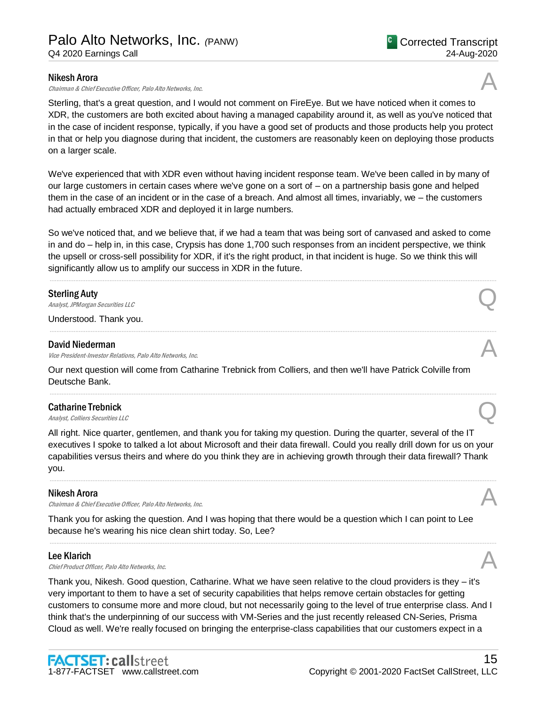#### Nikesh Arora

Chairman & Chief Executive Officer, Palo Alto Networks, Inc.

Sterling, that's a great question, and I would not comment on FireEye. But we have noticed when it comes to XDR, the customers are both excited about having a managed capability around it, as well as you've noticed that in the case of incident response, typically, if you have a good set of products and those products help you protect in that or help you diagnose during that incident, the customers are reasonably keen on deploying those products on a larger scale.

We've experienced that with XDR even without having incident response team. We've been called in by many of our large customers in certain cases where we've gone on a sort of – on a partnership basis gone and helped them in the case of an incident or in the case of a breach. And almost all times, invariably, we – the customers had actually embraced XDR and deployed it in large numbers.

So we've noticed that, and we believe that, if we had a team that was being sort of canvased and asked to come in and do – help in, in this case, Crypsis has done 1,700 such responses from an incident perspective, we think the upsell or cross-sell possibility for XDR, if it's the right product, in that incident is huge. So we think this will significantly allow us to amplify our success in XDR in the future.

.....................................................................................................................................................................................................................................................................

.....................................................................................................................................................................................................................................................................

.....................................................................................................................................................................................................................................................................

#### Sterling Auty

Sterling Auty<br>
Analyst, JPMorgan Securities LLC

Understood. Thank you.

#### David Niederman

Vice President-Investor Relations, Palo Alto Networks, Inc.

Our next question will come from Catharine Trebnick from Colliers, and then we'll have Patrick Colville from Deutsche Bank.

# Catharine Trebnick **Catharine Trebnick**<br>Analyst, Colliers Securities LLC

All right. Nice quarter, gentlemen, and thank you for taking my question. During the quarter, several of the IT executives I spoke to talked a lot about Microsoft and their data firewall. Could you really drill down for us on your capabilities versus theirs and where do you think they are in achieving growth through their data firewall? Thank you.

.....................................................................................................................................................................................................................................................................

.....................................................................................................................................................................................................................................................................

#### Nikesh Arora

Chairman & Chief Executive Officer, Palo Alto Networks, Inc.

Thank you for asking the question. And I was hoping that there would be a question which I can point to Lee because he's wearing his nice clean shirt today. So, Lee?

#### Lee Klarich

**Lee Klarich**<br>Chief Product Officer, Palo Alto Networks, Inc.  $\mathcal{A}$ 

Thank you, Nikesh. Good question, Catharine. What we have seen relative to the cloud providers is they – it's very important to them to have a set of security capabilities that helps remove certain obstacles for getting customers to consume more and more cloud, but not necessarily going to the level of true enterprise class. And I think that's the underpinning of our success with VM-Series and the just recently released CN-Series, Prisma Cloud as well. We're really focused on bringing the enterprise-class capabilities that our customers expect in a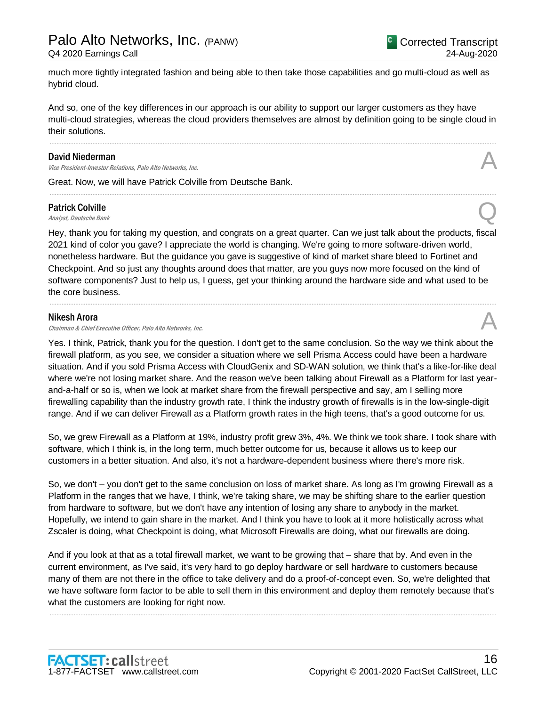much more tightly integrated fashion and being able to then take those capabilities and go multi-cloud as well as hybrid cloud.

And so, one of the key differences in our approach is our ability to support our larger customers as they have multi-cloud strategies, whereas the cloud providers themselves are almost by definition going to be single cloud in their solutions.

.....................................................................................................................................................................................................................................................................

.....................................................................................................................................................................................................................................................................

#### David Niederman

Vice President-Investor Relations, Palo Alto Networks, Inc.

Great. Now, we will have Patrick Colville from Deutsche Bank.

# Patrick Colville **Patrick Colville**<br>Analyst, Deutsche Bank  $\bigotimes$

Hey, thank you for taking my question, and congrats on a great quarter. Can we just talk about the products, fiscal 2021 kind of color you gave? I appreciate the world is changing. We're going to more software-driven world, nonetheless hardware. But the guidance you gave is suggestive of kind of market share bleed to Fortinet and Checkpoint. And so just any thoughts around does that matter, are you guys now more focused on the kind of software components? Just to help us, I guess, get your thinking around the hardware side and what used to be the core business.

.....................................................................................................................................................................................................................................................................

#### Nikesh Arora

Chairman & Chief Executive Officer, Palo Alto Networks, Inc.

Yes. I think, Patrick, thank you for the question. I don't get to the same conclusion. So the way we think about the firewall platform, as you see, we consider a situation where we sell Prisma Access could have been a hardware situation. And if you sold Prisma Access with CloudGenix and SD-WAN solution, we think that's a like-for-like deal where we're not losing market share. And the reason we've been talking about Firewall as a Platform for last yearand-a-half or so is, when we look at market share from the firewall perspective and say, am I selling more firewalling capability than the industry growth rate, I think the industry growth of firewalls is in the low-single-digit range. And if we can deliver Firewall as a Platform growth rates in the high teens, that's a good outcome for us.

So, we grew Firewall as a Platform at 19%, industry profit grew 3%, 4%. We think we took share. I took share with software, which I think is, in the long term, much better outcome for us, because it allows us to keep our customers in a better situation. And also, it's not a hardware-dependent business where there's more risk.

So, we don't – you don't get to the same conclusion on loss of market share. As long as I'm growing Firewall as a Platform in the ranges that we have, I think, we're taking share, we may be shifting share to the earlier question from hardware to software, but we don't have any intention of losing any share to anybody in the market. Hopefully, we intend to gain share in the market. And I think you have to look at it more holistically across what Zscaler is doing, what Checkpoint is doing, what Microsoft Firewalls are doing, what our firewalls are doing.

And if you look at that as a total firewall market, we want to be growing that – share that by. And even in the current environment, as I've said, it's very hard to go deploy hardware or sell hardware to customers because many of them are not there in the office to take delivery and do a proof-of-concept even. So, we're delighted that we have software form factor to be able to sell them in this environment and deploy them remotely because that's what the customers are looking for right now.

.....................................................................................................................................................................................................................................................................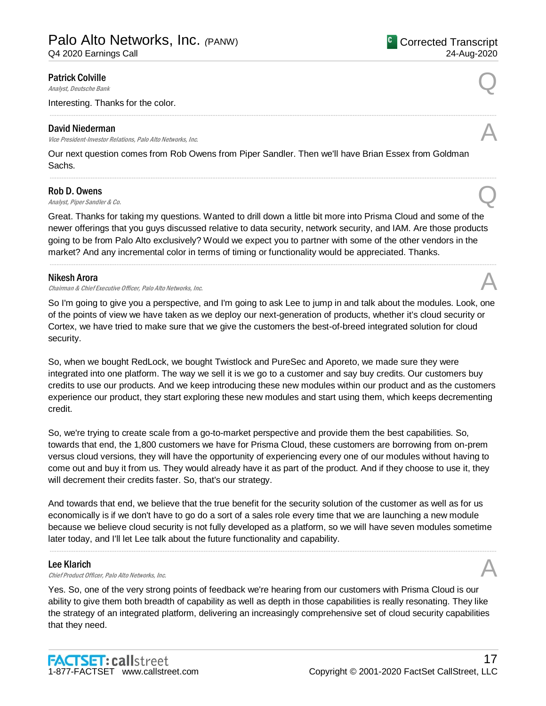Q4 2020 Earnings Call

# Patrick Colville **Patrick Colville**<br>Analyst, Deutsche Bank  $\bigotimes$

Interesting. Thanks for the color.

#### David Niederman

David Niederman<br>Vice President-Investor Relations, Palo Alto Networks, Inc. And Alto 2001 Control of the Second Alto Networks,

Our next question comes from Rob Owens from Piper Sandler. Then we'll have Brian Essex from Goldman Sachs.

.....................................................................................................................................................................................................................................................................

.....................................................................................................................................................................................................................................................................

#### Rob D. Owens

**Rob D. Owens**<br>Analyst, Piper Sandler & Co.

Great. Thanks for taking my questions. Wanted to drill down a little bit more into Prisma Cloud and some of the newer offerings that you guys discussed relative to data security, network security, and IAM. Are those products going to be from Palo Alto exclusively? Would we expect you to partner with some of the other vendors in the market? And any incremental color in terms of timing or functionality would be appreciated. Thanks.

.....................................................................................................................................................................................................................................................................

#### Nikesh Arora

Chairman & Chief Executive Officer, Palo Alto Networks, Inc.

So I'm going to give you a perspective, and I'm going to ask Lee to jump in and talk about the modules. Look, one of the points of view we have taken as we deploy our next-generation of products, whether it's cloud security or Cortex, we have tried to make sure that we give the customers the best-of-breed integrated solution for cloud security.

So, when we bought RedLock, we bought Twistlock and PureSec and Aporeto, we made sure they were integrated into one platform. The way we sell it is we go to a customer and say buy credits. Our customers buy credits to use our products. And we keep introducing these new modules within our product and as the customers experience our product, they start exploring these new modules and start using them, which keeps decrementing credit.

So, we're trying to create scale from a go-to-market perspective and provide them the best capabilities. So, towards that end, the 1,800 customers we have for Prisma Cloud, these customers are borrowing from on-prem versus cloud versions, they will have the opportunity of experiencing every one of our modules without having to come out and buy it from us. They would already have it as part of the product. And if they choose to use it, they will decrement their credits faster. So, that's our strategy.

And towards that end, we believe that the true benefit for the security solution of the customer as well as for us economically is if we don't have to go do a sort of a sales role every time that we are launching a new module because we believe cloud security is not fully developed as a platform, so we will have seven modules sometime later today, and I'll let Lee talk about the future functionality and capability.

.....................................................................................................................................................................................................................................................................

#### Lee Klarich

**Lee Klarich**<br>Chief Product Officer, Palo Alto Networks, Inc.  $\mathcal{A}$ 

Yes. So, one of the very strong points of feedback we're hearing from our customers with Prisma Cloud is our ability to give them both breadth of capability as well as depth in those capabilities is really resonating. They like the strategy of an integrated platform, delivering an increasingly comprehensive set of cloud security capabilities that they need.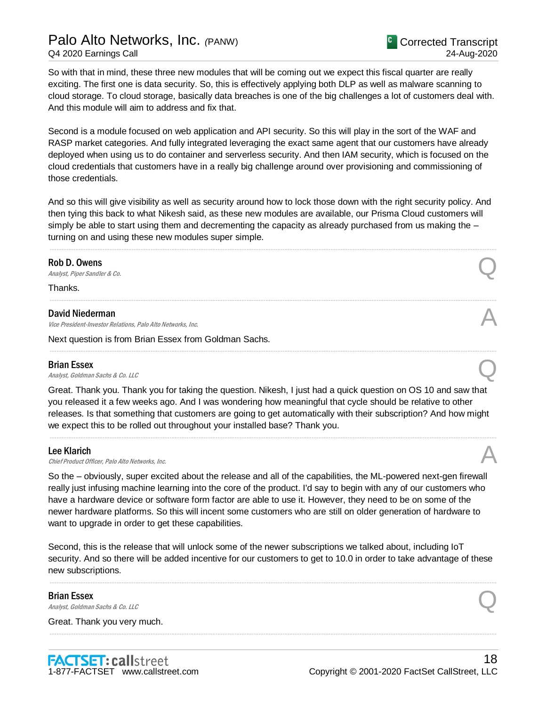# Palo Alto Networks, Inc. *(*PANW) Q4 2020 Earnings Call

So with that in mind, these three new modules that will be coming out we expect this fiscal quarter are really exciting. The first one is data security. So, this is effectively applying both DLP as well as malware scanning to cloud storage. To cloud storage, basically data breaches is one of the big challenges a lot of customers deal with. And this module will aim to address and fix that.

Second is a module focused on web application and API security. So this will play in the sort of the WAF and RASP market categories. And fully integrated leveraging the exact same agent that our customers have already deployed when using us to do container and serverless security. And then IAM security, which is focused on the cloud credentials that customers have in a really big challenge around over provisioning and commissioning of those credentials.

And so this will give visibility as well as security around how to lock those down with the right security policy. And then tying this back to what Nikesh said, as these new modules are available, our Prisma Cloud customers will simply be able to start using them and decrementing the capacity as already purchased from us making the turning on and using these new modules super simple.

.....................................................................................................................................................................................................................................................................

.....................................................................................................................................................................................................................................................................

.....................................................................................................................................................................................................................................................................

#### Rob D. Owens

**Rob D. Owens**<br>Analyst, Piper Sandler & Co.

Thanks.

#### David Niederman

David Niederman<br>Vice President-Investor Relations, Palo Alto Networks, Inc. And Alto 2001 Control of the Second Alto Networks,

Next question is from Brian Essex from Goldman Sachs.

#### Brian Essex

**Brian Essex**<br>Analyst, Goldman Sachs & Co. LLC

Great. Thank you. Thank you for taking the question. Nikesh, I just had a quick question on OS 10 and saw that you released it a few weeks ago. And I was wondering how meaningful that cycle should be relative to other releases. Is that something that customers are going to get automatically with their subscription? And how might we expect this to be rolled out throughout your installed base? Thank you.

.....................................................................................................................................................................................................................................................................

#### Lee Klarich

**Lee Klarich**<br>Chief Product Officer, Palo Alto Networks, Inc.

So the – obviously, super excited about the release and all of the capabilities, the ML-powered next-gen firewall really just infusing machine learning into the core of the product. I'd say to begin with any of our customers who have a hardware device or software form factor are able to use it. However, they need to be on some of the newer hardware platforms. So this will incent some customers who are still on older generation of hardware to want to upgrade in order to get these capabilities.

Second, this is the release that will unlock some of the newer subscriptions we talked about, including IoT security. And so there will be added incentive for our customers to get to 10.0 in order to take advantage of these new subscriptions.

.....................................................................................................................................................................................................................................................................

.....................................................................................................................................................................................................................................................................

Brian Essex **Brian Essex**<br>Analyst, Goldman Sachs & Co. LLC

Great. Thank you very much.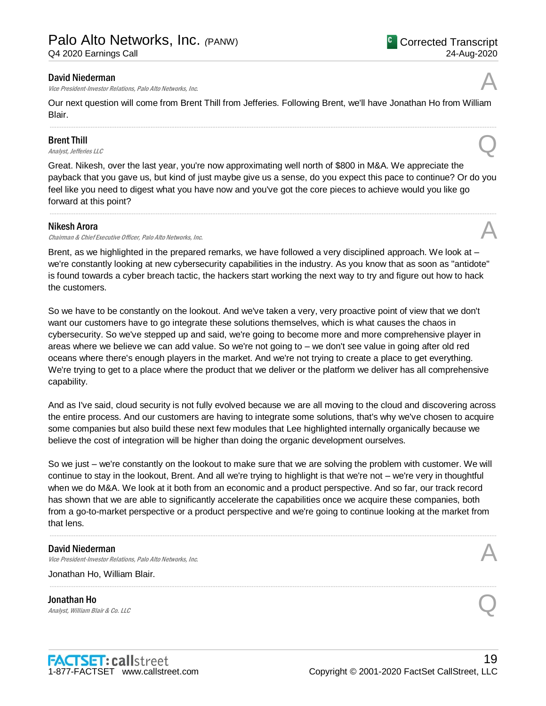#### David Niederman

Vice President-Investor Relations, Palo Alto Networks, Inc.

Our next question will come from Brent Thill from Jefferies. Following Brent, we'll have Jonathan Ho from William Blair.

.....................................................................................................................................................................................................................................................................

### Brent Thill

**Brent Thill**<br>Analyst, Jefferies LLC

Great. Nikesh, over the last year, you're now approximating well north of \$800 in M&A. We appreciate the payback that you gave us, but kind of just maybe give us a sense, do you expect this pace to continue? Or do you feel like you need to digest what you have now and you've got the core pieces to achieve would you like go forward at this point?

.....................................................................................................................................................................................................................................................................

#### Nikesh Arora

**Nikesh Arora**<br>Chairman & Chief Executive Officer, Palo Alto Networks, Inc.  $\mathcal{A}$ 

Brent, as we highlighted in the prepared remarks, we have followed a very disciplined approach. We look at – we're constantly looking at new cybersecurity capabilities in the industry. As you know that as soon as "antidote" is found towards a cyber breach tactic, the hackers start working the next way to try and figure out how to hack the customers.

So we have to be constantly on the lookout. And we've taken a very, very proactive point of view that we don't want our customers have to go integrate these solutions themselves, which is what causes the chaos in cybersecurity. So we've stepped up and said, we're going to become more and more comprehensive player in areas where we believe we can add value. So we're not going to – we don't see value in going after old red oceans where there's enough players in the market. And we're not trying to create a place to get everything. We're trying to get to a place where the product that we deliver or the platform we deliver has all comprehensive capability.

And as I've said, cloud security is not fully evolved because we are all moving to the cloud and discovering across the entire process. And our customers are having to integrate some solutions, that's why we've chosen to acquire some companies but also build these next few modules that Lee highlighted internally organically because we believe the cost of integration will be higher than doing the organic development ourselves.

So we just – we're constantly on the lookout to make sure that we are solving the problem with customer. We will continue to stay in the lookout, Brent. And all we're trying to highlight is that we're not – we're very in thoughtful when we do M&A. We look at it both from an economic and a product perspective. And so far, our track record has shown that we are able to significantly accelerate the capabilities once we acquire these companies, both from a go-to-market perspective or a product perspective and we're going to continue looking at the market from that lens.

.....................................................................................................................................................................................................................................................................

.....................................................................................................................................................................................................................................................................

#### David Niederman

David Niederman<br>Vice President-Investor Relations, Palo Alto Networks, Inc. And Alto 2001 Control of the Second Alto Networks,

Jonathan Ho, William Blair.

Jonathan Ho **Jonathan Ho**<br>Analyst, William Blair & Co. LLC



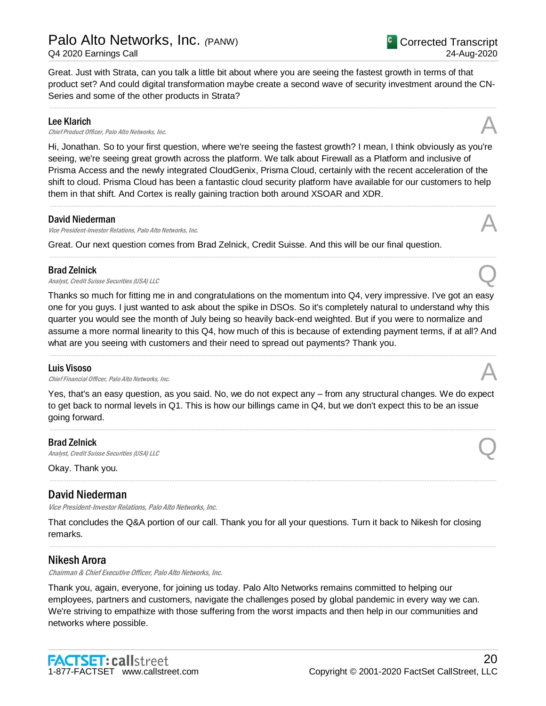Series and some of the other products in Strata?

20 Copyright © 2001-2020 FactSet CallStreet, LLC

### Lee Klarich

**Lee Klarich**<br>Chief Product Officer, Palo Alto Networks, Inc.

Hi, Jonathan. So to your first question, where we're seeing the fastest growth? I mean, I think obviously as you're seeing, we're seeing great growth across the platform. We talk about Firewall as a Platform and inclusive of Prisma Access and the newly integrated CloudGenix, Prisma Cloud, certainly with the recent acceleration of the shift to cloud. Prisma Cloud has been a fantastic cloud security platform have available for our customers to help them in that shift. And Cortex is really gaining traction both around XSOAR and XDR.

.....................................................................................................................................................................................................................................................................

.....................................................................................................................................................................................................................................................................

.....................................................................................................................................................................................................................................................................

Great. Just with Strata, can you talk a little bit about where you are seeing the fastest growth in terms of that product set? And could digital transformation maybe create a second wave of security investment around the CN-

#### David Niederman

David Niederman<br>Vice President-Investor Relations, Palo Alto Networks, Inc. And Alto 2001 Control of the Second Alto Networks,

Great. Our next question comes from Brad Zelnick, Credit Suisse. And this will be our final question.

#### Brad Zelnick

**Brad Zelnick**<br>Analyst, Credit Suisse Securities (USA) LLC

Thanks so much for fitting me in and congratulations on the momentum into Q4, very impressive. I've got an easy one for you guys. I just wanted to ask about the spike in DSOs. So it's completely natural to understand why this quarter you would see the month of July being so heavily back-end weighted. But if you were to normalize and assume a more normal linearity to this Q4, how much of this is because of extending payment terms, if at all? And what are you seeing with customers and their need to spread out payments? Thank you.

.....................................................................................................................................................................................................................................................................

#### Luis Visoso

**Luis Visoso**<br>Chief Financial Officer, Palo Alto Networks, Inc.  $\mathcal{A}$ 

Yes, that's an easy question, as you said. No, we do not expect any – from any structural changes. We do expect to get back to normal levels in Q1. This is how our billings came in Q4, but we don't expect this to be an issue going forward.

.....................................................................................................................................................................................................................................................................

.....................................................................................................................................................................................................................................................................

Brad Zelnick **Brad Zelnick**<br>Analyst, Credit Suisse Securities (USA) LLC

Okay. Thank you.

### David Niederman

Vice President-Investor Relations, Palo Alto Networks, Inc.

That concludes the Q&A portion of our call. Thank you for all your questions. Turn it back to Nikesh for closing remarks.

.....................................................................................................................................................................................................................................................................

#### Nikesh Arora

Chairman & Chief Executive Officer, Palo Alto Networks, Inc.

Thank you, again, everyone, for joining us today. Palo Alto Networks remains committed to helping our employees, partners and customers, navigate the challenges posed by global pandemic in every way we can. We're striving to empathize with those suffering from the worst impacts and then help in our communities and networks where possible.

**FACTSET: callstreet**